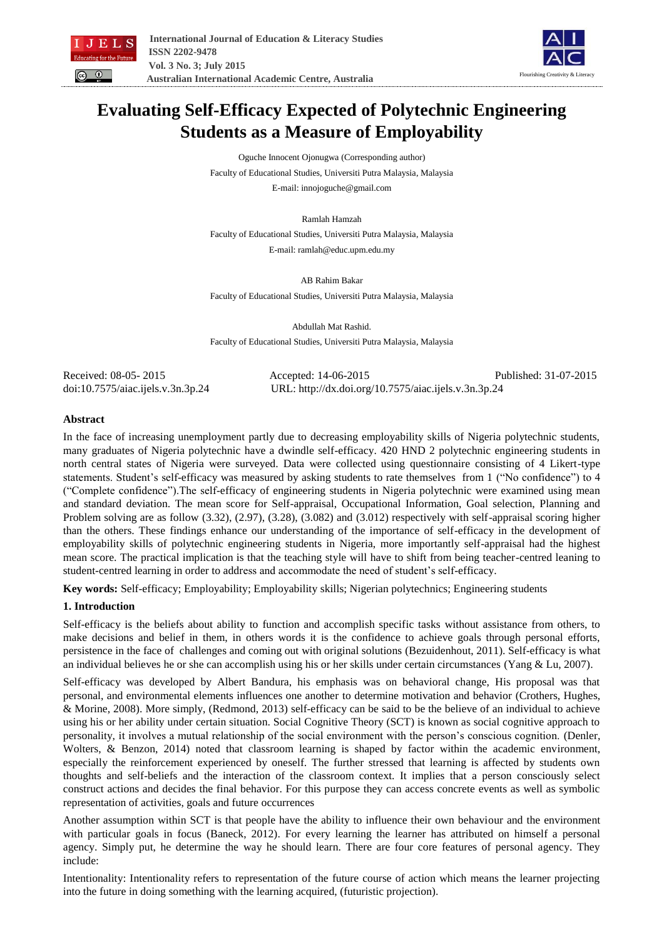



# **Evaluating Self-Efficacy Expected of Polytechnic Engineering Students as a Measure of Employability**

Oguche Innocent Ojonugwa (Corresponding author) Faculty of Educational Studies, Universiti Putra Malaysia, Malaysia E-mail: innojoguche@gmail.com

Ramlah Hamzah

Faculty of Educational Studies, Universiti Putra Malaysia, Malaysia

E-mail: ramlah@educ.upm.edu.my

AB Rahim Bakar Faculty of Educational Studies, Universiti Putra Malaysia, Malaysia

Abdullah Mat Rashid. Faculty of Educational Studies, Universiti Putra Malaysia, Malaysia

Received: 08-05- 2015 Accepted: 14-06-2015 Published: 31-07-2015 doi:10.7575/aiac.ijels.v.3n.3p.24 URL: http://dx.doi.org/10.7575/aiac.ijels.v.3n.3p.24

## **Abstract**

In the face of increasing unemployment partly due to decreasing employability skills of Nigeria polytechnic students, many graduates of Nigeria polytechnic have a dwindle self-efficacy. 420 HND 2 polytechnic engineering students in north central states of Nigeria were surveyed. Data were collected using questionnaire consisting of 4 Likert-type statements. Student's self-efficacy was measured by asking students to rate themselves from 1 ("No confidence") to 4 ("Complete confidence").The self-efficacy of engineering students in Nigeria polytechnic were examined using mean and standard deviation. The mean score for Self-appraisal, Occupational Information, Goal selection, Planning and Problem solving are as follow (3.32), (2.97), (3.28), (3.082) and (3.012) respectively with self-appraisal scoring higher than the others. These findings enhance our understanding of the importance of self-efficacy in the development of employability skills of polytechnic engineering students in Nigeria, more importantly self-appraisal had the highest mean score. The practical implication is that the teaching style will have to shift from being teacher-centred leaning to student-centred learning in order to address and accommodate the need of student's self-efficacy.

**Key words:** Self-efficacy; Employability; Employability skills; Nigerian polytechnics; Engineering students

# **1. Introduction**

Self-efficacy is the beliefs about ability to function and accomplish specific tasks without assistance from others, to make decisions and belief in them, in others words it is the confidence to achieve goals through personal efforts, persistence in the face of challenges and coming out with original solutions (Bezuidenhout, 2011). Self-efficacy is what an individual believes he or she can accomplish using his or her skills under certain circumstances (Yang & Lu, 2007).

Self-efficacy was developed by Albert Bandura, his emphasis was on behavioral change, His proposal was that personal, and environmental elements influences one another to determine motivation and behavior (Crothers, Hughes, & Morine, 2008). More simply, (Redmond, 2013) self-efficacy can be said to be the believe of an individual to achieve using his or her ability under certain situation. Social Cognitive Theory (SCT) is known as social cognitive approach to personality, it involves a mutual relationship of the social environment with the person's conscious cognition. (Denler, Wolters, & Benzon, 2014) noted that classroom learning is shaped by factor within the academic environment, especially the reinforcement experienced by oneself. The further stressed that learning is affected by students own thoughts and self-beliefs and the interaction of the classroom context. It implies that a person consciously select construct actions and decides the final behavior. For this purpose they can access concrete events as well as symbolic representation of activities, goals and future occurrences

Another assumption within SCT is that people have the ability to influence their own behaviour and the environment with particular goals in focus (Baneck, 2012). For every learning the learner has attributed on himself a personal agency. Simply put, he determine the way he should learn. There are four core features of personal agency. They include:

Intentionality: Intentionality refers to representation of the future course of action which means the learner projecting into the future in doing something with the learning acquired, (futuristic projection).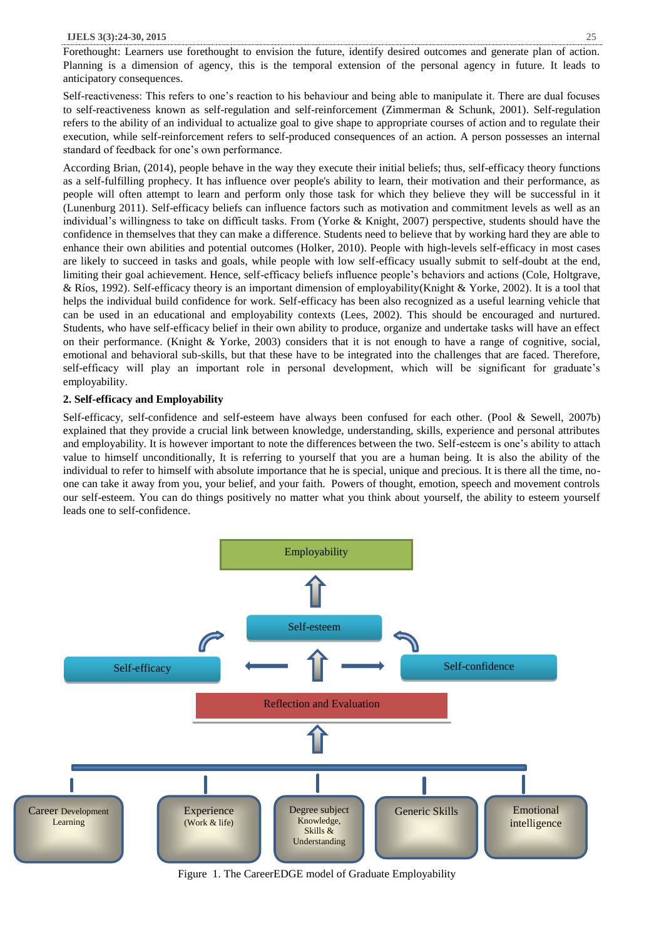#### **IJELS 3(3):24-30, 2015** 25

Forethought: Learners use forethought to envision the future, identify desired outcomes and generate plan of action. Planning is a dimension of agency, this is the temporal extension of the personal agency in future. It leads to anticipatory consequences.

Self-reactiveness: This refers to one's reaction to his behaviour and being able to manipulate it. There are dual focuses to self-reactiveness known as self-regulation and self-reinforcement (Zimmerman & Schunk, 2001). Self-regulation refers to the ability of an individual to actualize goal to give shape to appropriate courses of action and to regulate their execution, while self-reinforcement refers to self-produced consequences of an action. A person possesses an internal standard of feedback for one's own performance.

According Brian, (2014), people behave in the way they execute their initial beliefs; thus, self-efficacy theory functions as a self-fulfilling prophecy. It has influence over people's ability to learn, their motivation and their performance, as people will often attempt to learn and perform only those task for which they believe they will be successful in it (Lunenburg 2011). Self-efficacy beliefs can influence factors such as motivation and commitment levels as well as an individual's willingness to take on difficult tasks. From (Yorke & Knight, 2007) perspective, students should have the confidence in themselves that they can make a difference. Students need to believe that by working hard they are able to enhance their own abilities and potential outcomes (Holker, 2010). People with high-levels self-efficacy in most cases are likely to succeed in tasks and goals, while people with low self-efficacy usually submit to self-doubt at the end, limiting their goal achievement. Hence, self-efficacy beliefs influence people's behaviors and actions (Cole, Holtgrave, & Ríos, 1992). Self-efficacy theory is an important dimension of employability(Knight & Yorke, 2002). It is a tool that helps the individual build confidence for work. Self-efficacy has been also recognized as a useful learning vehicle that can be used in an educational and employability contexts (Lees, 2002). This should be encouraged and nurtured. Students, who have self-efficacy belief in their own ability to produce, organize and undertake tasks will have an effect on their performance. (Knight & Yorke, 2003) considers that it is not enough to have a range of cognitive, social, emotional and behavioral sub-skills, but that these have to be integrated into the challenges that are faced. Therefore, self-efficacy will play an important role in personal development, which will be significant for graduate's employability.

#### **2. Self-efficacy and Employability**

Self-efficacy, self-confidence and self-esteem have always been confused for each other. (Pool & Sewell, 2007b) explained that they provide a crucial link between knowledge, understanding, skills, experience and personal attributes and employability. It is however important to note the differences between the two. Self-esteem is one's ability to attach value to himself unconditionally, It is referring to yourself that you are a human being. It is also the ability of the individual to refer to himself with absolute importance that he is special, unique and precious. It is there all the time, noone can take it away from you, your belief, and your faith. Powers of thought, emotion, speech and movement controls our self-esteem. You can do things positively no matter what you think about yourself, the ability to esteem yourself leads one to self-confidence.



Figure 1. The CareerEDGE model of Graduate Employability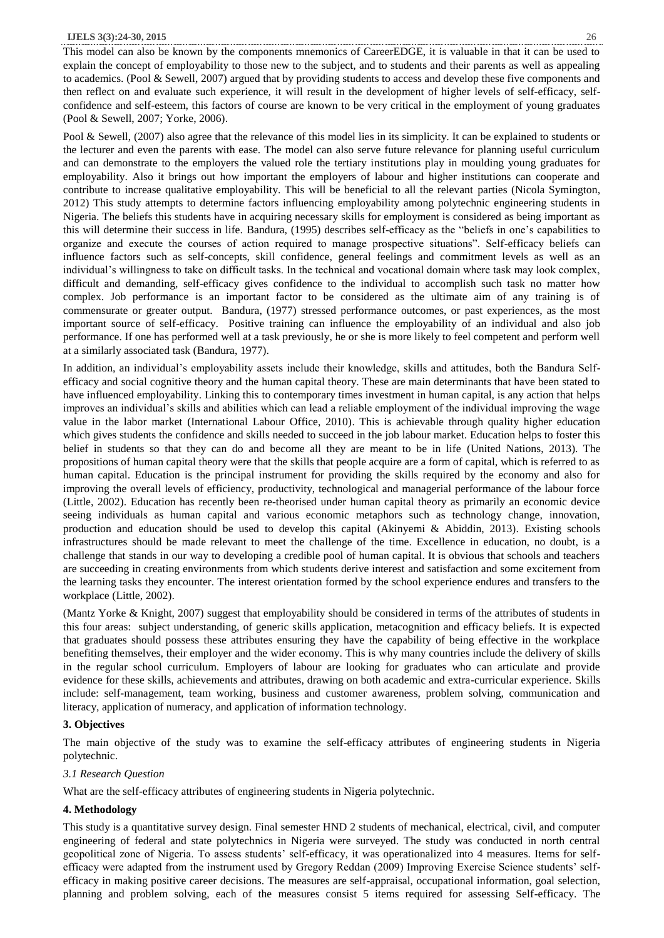#### **IJELS 3(3):24-30, 2015** 26

This model can also be known by the components mnemonics of CareerEDGE, it is valuable in that it can be used to explain the concept of employability to those new to the subject, and to students and their parents as well as appealing to academics. (Pool & Sewell, 2007) argued that by providing students to access and develop these five components and then reflect on and evaluate such experience, it will result in the development of higher levels of self-efficacy, selfconfidence and self-esteem, this factors of course are known to be very critical in the employment of young graduates (Pool & Sewell, 2007; Yorke, 2006).

Pool & Sewell, (2007) also agree that the relevance of this model lies in its simplicity. It can be explained to students or the lecturer and even the parents with ease. The model can also serve future relevance for planning useful curriculum and can demonstrate to the employers the valued role the tertiary institutions play in moulding young graduates for employability. Also it brings out how important the employers of labour and higher institutions can cooperate and contribute to increase qualitative employability. This will be beneficial to all the relevant parties (Nicola Symington, 2012) This study attempts to determine factors influencing employability among polytechnic engineering students in Nigeria. The beliefs this students have in acquiring necessary skills for employment is considered as being important as this will determine their success in life. Bandura, (1995) describes self-efficacy as the "beliefs in one's capabilities to organize and execute the courses of action required to manage prospective situations". Self-efficacy beliefs can influence factors such as self-concepts, skill confidence, general feelings and commitment levels as well as an individual's willingness to take on difficult tasks. In the technical and vocational domain where task may look complex, difficult and demanding, self-efficacy gives confidence to the individual to accomplish such task no matter how complex. Job performance is an important factor to be considered as the ultimate aim of any training is of commensurate or greater output. Bandura, (1977) stressed performance outcomes, or past experiences, as the most important source of self-efficacy. Positive training can influence the employability of an individual and also job performance. If one has performed well at a task previously, he or she is more likely to feel competent and perform well at a similarly associated task (Bandura, 1977).

In addition, an individual's employability assets include their knowledge, skills and attitudes, both the Bandura Selfefficacy and social cognitive theory and the human capital theory. These are main determinants that have been stated to have influenced employability. Linking this to contemporary times investment in human capital, is any action that helps improves an individual's skills and abilities which can lead a reliable employment of the individual improving the wage value in the labor market (International Labour Office, 2010). This is achievable through quality higher education which gives students the confidence and skills needed to succeed in the job labour market. Education helps to foster this belief in students so that they can do and become all they are meant to be in life (United Nations, 2013). The propositions of human capital theory were that the skills that people acquire are a form of capital, which is referred to as human capital. Education is the principal instrument for providing the skills required by the economy and also for improving the overall levels of efficiency, productivity, technological and managerial performance of the labour force (Little, 2002). Education has recently been re-theorised under human capital theory as primarily an economic device seeing individuals as human capital and various economic metaphors such as technology change, innovation, production and education should be used to develop this capital (Akinyemi & Abiddin, 2013). Existing schools infrastructures should be made relevant to meet the challenge of the time. Excellence in education, no doubt, is a challenge that stands in our way to developing a credible pool of human capital. It is obvious that schools and teachers are succeeding in creating environments from which students derive interest and satisfaction and some excitement from the learning tasks they encounter. The interest orientation formed by the school experience endures and transfers to the workplace (Little, 2002).

(Mantz Yorke & Knight, 2007) suggest that employability should be considered in terms of the attributes of students in this four areas: subject understanding, of generic skills application, metacognition and efficacy beliefs. It is expected that graduates should possess these attributes ensuring they have the capability of being effective in the workplace benefiting themselves, their employer and the wider economy. This is why many countries include the delivery of skills in the regular school curriculum. Employers of labour are looking for graduates who can articulate and provide evidence for these skills, achievements and attributes, drawing on both academic and extra-curricular experience. Skills include: self-management, team working, business and customer awareness, problem solving, communication and literacy, application of numeracy, and application of information technology.

## **3. Objectives**

The main objective of the study was to examine the self-efficacy attributes of engineering students in Nigeria polytechnic.

#### *3.1 Research Question*

What are the self-efficacy attributes of engineering students in Nigeria polytechnic.

## **4. Methodology**

This study is a quantitative survey design. Final semester HND 2 students of mechanical, electrical, civil, and computer engineering of federal and state polytechnics in Nigeria were surveyed. The study was conducted in north central geopolitical zone of Nigeria. To assess students' self-efficacy, it was operationalized into 4 measures. Items for selfefficacy were adapted from the instrument used by Gregory Reddan (2009) Improving Exercise Science students' selfefficacy in making positive career decisions. The measures are self-appraisal, occupational information, goal selection, planning and problem solving, each of the measures consist 5 items required for assessing Self-efficacy. The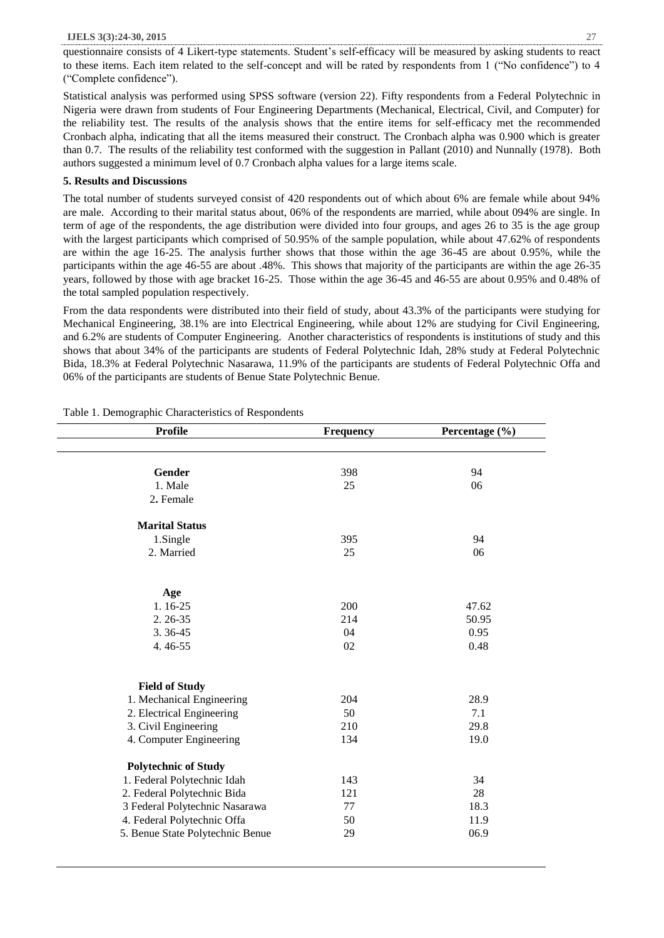#### **IJELS 3(3):24-30, 2015** 27

questionnaire consists of 4 Likert-type statements. Student's self-efficacy will be measured by asking students to react to these items. Each item related to the self-concept and will be rated by respondents from 1 ("No confidence") to 4 ("Complete confidence").

Statistical analysis was performed using SPSS software (version 22). Fifty respondents from a Federal Polytechnic in Nigeria were drawn from students of Four Engineering Departments (Mechanical, Electrical, Civil, and Computer) for the reliability test. The results of the analysis shows that the entire items for self-efficacy met the recommended Cronbach alpha, indicating that all the items measured their construct. The Cronbach alpha was 0.900 which is greater than 0.7. The results of the reliability test conformed with the suggestion in Pallant (2010) and Nunnally (1978). Both authors suggested a minimum level of 0.7 Cronbach alpha values for a large items scale.

## **5. Results and Discussions**

The total number of students surveyed consist of 420 respondents out of which about 6% are female while about 94% are male. According to their marital status about, 06% of the respondents are married, while about 094% are single. In term of age of the respondents, the age distribution were divided into four groups, and ages 26 to 35 is the age group with the largest participants which comprised of 50.95% of the sample population, while about 47.62% of respondents are within the age 16-25. The analysis further shows that those within the age 36-45 are about 0.95%, while the participants within the age 46-55 are about .48%. This shows that majority of the participants are within the age 26-35 years, followed by those with age bracket 16-25. Those within the age 36-45 and 46-55 are about 0.95% and 0.48% of the total sampled population respectively.

From the data respondents were distributed into their field of study, about 43.3% of the participants were studying for Mechanical Engineering, 38.1% are into Electrical Engineering, while about 12% are studying for Civil Engineering, and 6.2% are students of Computer Engineering. Another characteristics of respondents is institutions of study and this shows that about 34% of the participants are students of Federal Polytechnic Idah, 28% study at Federal Polytechnic Bida, 18.3% at Federal Polytechnic Nasarawa, 11.9% of the participants are students of Federal Polytechnic Offa and 06% of the participants are students of Benue State Polytechnic Benue.

| <b>Profile</b>                   | Frequency | Percentage (%) |  |  |
|----------------------------------|-----------|----------------|--|--|
|                                  |           |                |  |  |
|                                  |           |                |  |  |
| Gender                           | 398       | 94             |  |  |
| 1. Male                          | 25        | 06             |  |  |
| 2. Female                        |           |                |  |  |
| <b>Marital Status</b>            |           |                |  |  |
| 1.Single                         | 395       | 94             |  |  |
| 2. Married                       | 25        | 06             |  |  |
|                                  |           |                |  |  |
| Age                              |           |                |  |  |
| 1.16-25                          | 200       | 47.62          |  |  |
| $2.26 - 35$                      | 214       | 50.95          |  |  |
| 3.36-45                          | 04        | 0.95           |  |  |
| 4.46-55                          | 02        | 0.48           |  |  |
|                                  |           |                |  |  |
| <b>Field of Study</b>            |           |                |  |  |
| 1. Mechanical Engineering        | 204       | 28.9           |  |  |
| 2. Electrical Engineering        | 50        | 7.1            |  |  |
| 3. Civil Engineering             | 210       | 29.8           |  |  |
| 4. Computer Engineering          | 134       | 19.0           |  |  |
|                                  |           |                |  |  |
| <b>Polytechnic of Study</b>      |           |                |  |  |
| 1. Federal Polytechnic Idah      | 143       | 34             |  |  |
| 2. Federal Polytechnic Bida      | 121       | 28             |  |  |
| 3 Federal Polytechnic Nasarawa   | 77        | 18.3           |  |  |
| 4. Federal Polytechnic Offa      | 50        | 11.9           |  |  |
| 5. Benue State Polytechnic Benue | 29        | 06.9           |  |  |
|                                  |           |                |  |  |

Table 1. Demographic Characteristics of Respondents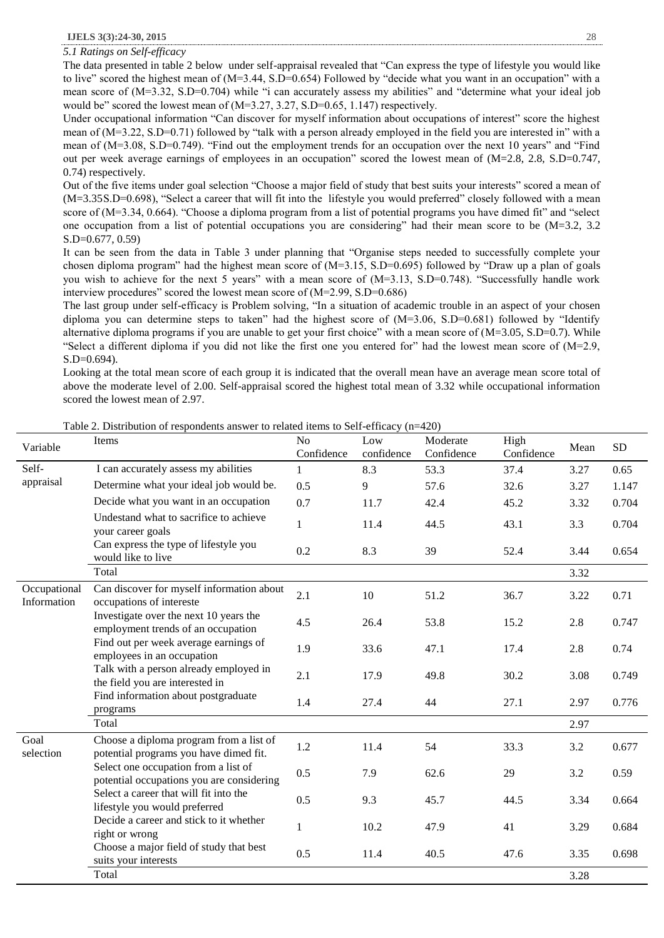*5.1 Ratings on Self-efficacy*

The data presented in table 2 below under self-appraisal revealed that "Can express the type of lifestyle you would like to live" scored the highest mean of (M=3.44, S.D=0.654) Followed by "decide what you want in an occupation" with a mean score of (M=3.32, S.D=0.704) while "i can accurately assess my abilities" and "determine what your ideal job would be" scored the lowest mean of (M=3.27, 3.27, S.D=0.65, 1.147) respectively.

Under occupational information "Can discover for myself information about occupations of interest" score the highest mean of (M=3.22, S.D=0.71) followed by "talk with a person already employed in the field you are interested in" with a mean of (M=3.08, S.D=0.749). "Find out the employment trends for an occupation over the next 10 years" and "Find out per week average earnings of employees in an occupation" scored the lowest mean of (M=2.8, 2.8, S.D=0.747, 0.74) respectively.

Out of the five items under goal selection "Choose a major field of study that best suits your interests" scored a mean of (M=3.35S.D=0.698), "Select a career that will fit into the lifestyle you would preferred" closely followed with a mean score of (M=3.34, 0.664). "Choose a diploma program from a list of potential programs you have dimed fit" and "select one occupation from a list of potential occupations you are considering" had their mean score to be (M=3.2, 3.2 S.D=0.677, 0.59)

It can be seen from the data in Table 3 under planning that "Organise steps needed to successfully complete your chosen diploma program" had the highest mean score of (M=3.15, S.D=0.695) followed by "Draw up a plan of goals you wish to achieve for the next 5 years" with a mean score of (M=3.13, S.D=0.748). "Successfully handle work interview procedures" scored the lowest mean score of (M=2.99, S.D=0.686)

The last group under self-efficacy is Problem solving, "In a situation of academic trouble in an aspect of your chosen diploma you can determine steps to taken" had the highest score of (M=3.06, S.D=0.681) followed by "Identify alternative diploma programs if you are unable to get your first choice" with a mean score of  $(M=3.05, S.D=0.7)$ . While "Select a different diploma if you did not like the first one you entered for" had the lowest mean score of (M=2.9, S.D=0.694).

Looking at the total mean score of each group it is indicated that the overall mean have an average mean score total of above the moderate level of 2.00. Self-appraisal scored the highest total mean of 3.32 while occupational information scored the lowest mean of 2.97.

| Variable                    | Items                                                                             | N <sub>o</sub><br>Confidence | Low<br>confidence | Moderate<br>Confidence | High<br>Confidence | Mean | <b>SD</b> |
|-----------------------------|-----------------------------------------------------------------------------------|------------------------------|-------------------|------------------------|--------------------|------|-----------|
| Self-                       | I can accurately assess my abilities                                              | $\mathbf{1}$                 | 8.3               | 53.3                   | 37.4               | 3.27 | 0.65      |
| appraisal                   | Determine what your ideal job would be.                                           | 0.5                          | 9                 | 57.6                   | 32.6               | 3.27 | 1.147     |
|                             | Decide what you want in an occupation                                             | 0.7                          | 11.7              | 42.4                   | 45.2               | 3.32 | 0.704     |
|                             | Undestand what to sacrifice to achieve<br>your career goals                       | $\mathbf{1}$                 | 11.4              | 44.5                   | 43.1               | 3.3  | 0.704     |
|                             | Can express the type of lifestyle you<br>would like to live                       | 0.2                          | 8.3               | 39                     | 52.4               | 3.44 | 0.654     |
|                             | Total                                                                             |                              |                   |                        |                    | 3.32 |           |
| Occupational<br>Information | Can discover for myself information about<br>occupations of intereste             | 2.1                          | 10                | 51.2                   | 36.7               | 3.22 | 0.71      |
|                             | Investigate over the next 10 years the<br>employment trends of an occupation      | 4.5                          | 26.4              | 53.8                   | 15.2               | 2.8  | 0.747     |
|                             | Find out per week average earnings of<br>employees in an occupation               | 1.9                          | 33.6              | 47.1                   | 17.4               | 2.8  | 0.74      |
|                             | Talk with a person already employed in<br>the field you are interested in         | 2.1                          | 17.9              | 49.8                   | 30.2               | 3.08 | 0.749     |
|                             | Find information about postgraduate<br>programs                                   | 1.4                          | 27.4              | 44                     | 27.1               | 2.97 | 0.776     |
|                             | Total                                                                             |                              |                   |                        |                    | 2.97 |           |
| Goal<br>selection           | Choose a diploma program from a list of<br>potential programs you have dimed fit. | 1.2                          | 11.4              | 54                     | 33.3               | 3.2  | 0.677     |
|                             | Select one occupation from a list of<br>potential occupations you are considering | 0.5                          | 7.9               | 62.6                   | 29                 | 3.2  | 0.59      |
|                             | Select a career that will fit into the<br>lifestyle you would preferred           | 0.5                          | 9.3               | 45.7                   | 44.5               | 3.34 | 0.664     |
|                             | Decide a career and stick to it whether<br>right or wrong                         | $\mathbf{1}$                 | 10.2              | 47.9                   | 41                 | 3.29 | 0.684     |
|                             | Choose a major field of study that best<br>suits your interests                   | 0.5                          | 11.4              | 40.5                   | 47.6               | 3.35 | 0.698     |
|                             | Total                                                                             |                              |                   |                        |                    | 3.28 |           |

Table 2. Distribution of respondents answer to related items to Self-efficacy (n=420)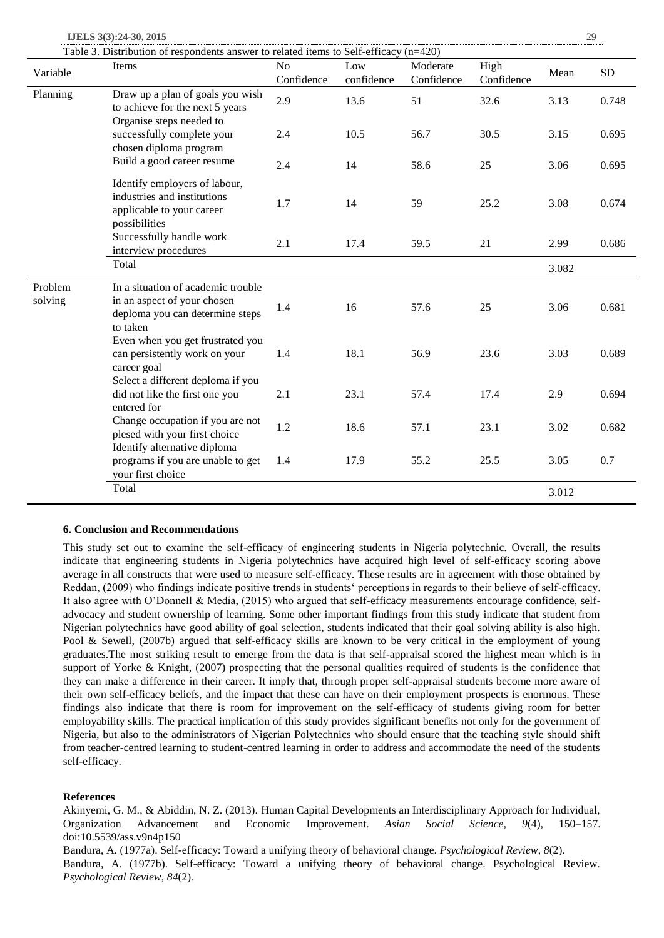**IJELS 3(3):24-30, 2015** 29

| Table 3. Distribution of respondents answer to related items to Self-efficacy $(n=420)$ |  |  |
|-----------------------------------------------------------------------------------------|--|--|
|                                                                                         |  |  |

|                    | Table 3. Distribution of respondents answer to related items to Self-efficacy ( $n=420$ )<br>Items               | No         | Low        | Moderate   | High       |       |           |
|--------------------|------------------------------------------------------------------------------------------------------------------|------------|------------|------------|------------|-------|-----------|
| Variable           |                                                                                                                  | Confidence | confidence | Confidence | Confidence | Mean  | <b>SD</b> |
| Planning           | Draw up a plan of goals you wish<br>to achieve for the next 5 years<br>Organise steps needed to                  | 2.9        | 13.6       | 51         | 32.6       | 3.13  | 0.748     |
|                    | successfully complete your<br>chosen diploma program                                                             | 2.4        | 10.5       | 56.7       | 30.5       | 3.15  | 0.695     |
|                    | Build a good career resume                                                                                       | 2.4        | 14         | 58.6       | 25         | 3.06  | 0.695     |
|                    | Identify employers of labour,<br>industries and institutions<br>applicable to your career<br>possibilities       | 1.7        | 14         | 59         | 25.2       | 3.08  | 0.674     |
|                    | Successfully handle work<br>interview procedures                                                                 | 2.1        | 17.4       | 59.5       | 21         | 2.99  | 0.686     |
|                    | Total                                                                                                            |            |            |            |            | 3.082 |           |
| Problem<br>solving | In a situation of academic trouble<br>in an aspect of your chosen<br>deploma you can determine steps<br>to taken | 1.4        | 16         | 57.6       | 25         | 3.06  | 0.681     |
|                    | Even when you get frustrated you<br>can persistently work on your<br>career goal                                 | 1.4        | 18.1       | 56.9       | 23.6       | 3.03  | 0.689     |
|                    | Select a different deploma if you<br>did not like the first one you<br>entered for                               | 2.1        | 23.1       | 57.4       | 17.4       | 2.9   | 0.694     |
|                    | Change occupation if you are not<br>plesed with your first choice<br>Identify alternative diploma                | 1.2        | 18.6       | 57.1       | 23.1       | 3.02  | 0.682     |
|                    | programs if you are unable to get<br>your first choice                                                           | 1.4        | 17.9       | 55.2       | 25.5       | 3.05  | 0.7       |
|                    | Total                                                                                                            |            |            |            |            | 3.012 |           |

### **6. Conclusion and Recommendations**

This study set out to examine the self-efficacy of engineering students in Nigeria polytechnic. Overall, the results indicate that engineering students in Nigeria polytechnics have acquired high level of self-efficacy scoring above average in all constructs that were used to measure self-efficacy. These results are in agreement with those obtained by Reddan, (2009) who findings indicate positive trends in students' perceptions in regards to their believe of self-efficacy. It also agree with O'Donnell & Media, (2015) who argued that self-efficacy measurements encourage confidence, selfadvocacy and student ownership of learning. Some other important findings from this study indicate that student from Nigerian polytechnics have good ability of goal selection, students indicated that their goal solving ability is also high. Pool & Sewell, (2007b) argued that self-efficacy skills are known to be very critical in the employment of young graduates.The most striking result to emerge from the data is that self-appraisal scored the highest mean which is in support of Yorke & Knight, (2007) prospecting that the personal qualities required of students is the confidence that they can make a difference in their career. It imply that, through proper self-appraisal students become more aware of their own self-efficacy beliefs, and the impact that these can have on their employment prospects is enormous. These findings also indicate that there is room for improvement on the self-efficacy of students giving room for better employability skills. The practical implication of this study provides significant benefits not only for the government of Nigeria, but also to the administrators of Nigerian Polytechnics who should ensure that the teaching style should shift from teacher-centred learning to student-centred learning in order to address and accommodate the need of the students self-efficacy.

#### **References**

Akinyemi, G. M., & Abiddin, N. Z. (2013). Human Capital Developments an Interdisciplinary Approach for Individual, Organization Advancement and Economic Improvement. *Asian Social Science*, *9*(4), 150–157. doi:10.5539/ass.v9n4p150

Bandura, A. (1977a). Self-efficacy: Toward a unifying theory of behavioral change. *Psychological Review*, *8*(2). Bandura, A. (1977b). Self-efficacy: Toward a unifying theory of behavioral change. Psychological Review. *Psychological Review*, *84*(2).